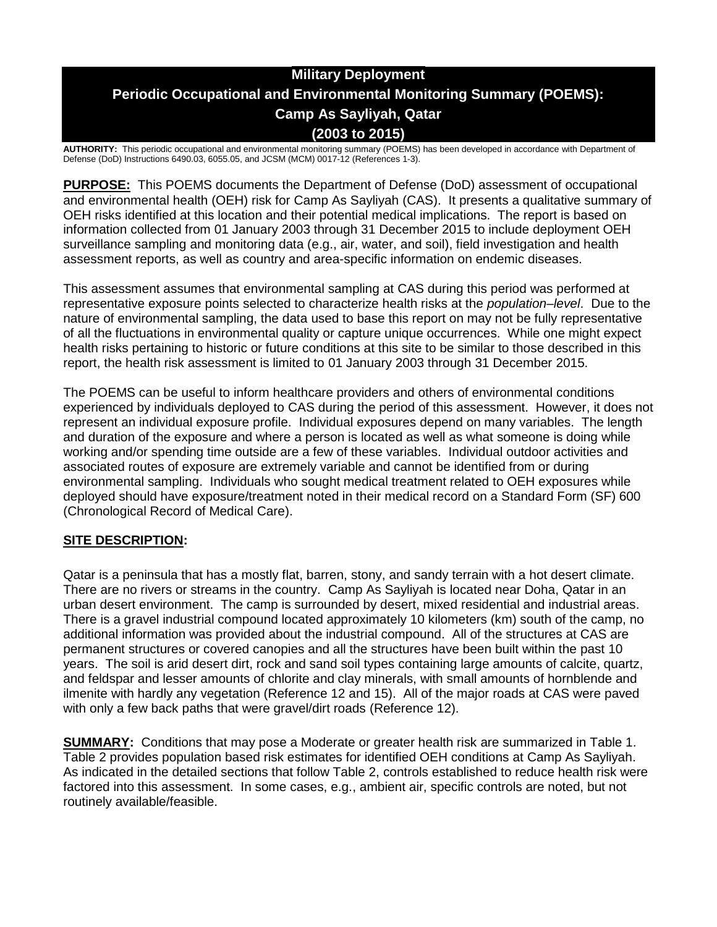# **Military Deployment Periodic Occupational and Environmental Monitoring Summary (POEMS): Camp As Sayliyah, Qatar (2003 to 2015)**

**AUTHORITY:** This periodic occupational and environmental monitoring summary (POEMS) has been developed in accordance with Department of Defense (DoD) Instructions 6490.03, 6055.05, and JCSM (MCM) 0017-12 (References 1-3).

**PURPOSE:** This POEMS documents the Department of Defense (DoD) assessment of occupational and environmental health (OEH) risk for Camp As Sayliyah (CAS). It presents a qualitative summary of OEH risks identified at this location and their potential medical implications. The report is based on information collected from 01 January 2003 through 31 December 2015 to include deployment OEH surveillance sampling and monitoring data (e.g., air, water, and soil), field investigation and health assessment reports, as well as country and area-specific information on endemic diseases.

This assessment assumes that environmental sampling at CAS during this period was performed at representative exposure points selected to characterize health risks at the *population–level*. Due to the nature of environmental sampling, the data used to base this report on may not be fully representative of all the fluctuations in environmental quality or capture unique occurrences. While one might expect health risks pertaining to historic or future conditions at this site to be similar to those described in this report, the health risk assessment is limited to 01 January 2003 through 31 December 2015.

The POEMS can be useful to inform healthcare providers and others of environmental conditions experienced by individuals deployed to CAS during the period of this assessment. However, it does not represent an individual exposure profile. Individual exposures depend on many variables. The length and duration of the exposure and where a person is located as well as what someone is doing while working and/or spending time outside are a few of these variables. Individual outdoor activities and associated routes of exposure are extremely variable and cannot be identified from or during environmental sampling. Individuals who sought medical treatment related to OEH exposures while deployed should have exposure/treatment noted in their medical record on a Standard Form (SF) 600 (Chronological Record of Medical Care).

# **SITE DESCRIPTION:**

Qatar is a peninsula that has a mostly flat, barren, stony, and sandy terrain with a hot desert climate. There are no rivers or streams in the country. Camp As Sayliyah is located near Doha, Qatar in an urban desert environment. The camp is surrounded by desert, mixed residential and industrial areas. There is a gravel industrial compound located approximately 10 kilometers (km) south of the camp, no additional information was provided about the industrial compound. All of the structures at CAS are permanent structures or covered canopies and all the structures have been built within the past 10 years. The soil is arid desert dirt, rock and sand soil types containing large amounts of calcite, quartz, and feldspar and lesser amounts of chlorite and clay minerals, with small amounts of hornblende and ilmenite with hardly any vegetation (Reference 12 and 15). All of the major roads at CAS were paved with only a few back paths that were gravel/dirt roads (Reference 12).

**SUMMARY:** Conditions that may pose a Moderate or greater health risk are summarized in Table 1. Table 2 provides population based risk estimates for identified OEH conditions at Camp As Sayliyah. As indicated in the detailed sections that follow Table 2, controls established to reduce health risk were factored into this assessment. In some cases, e.g., ambient air, specific controls are noted, but not routinely available/feasible.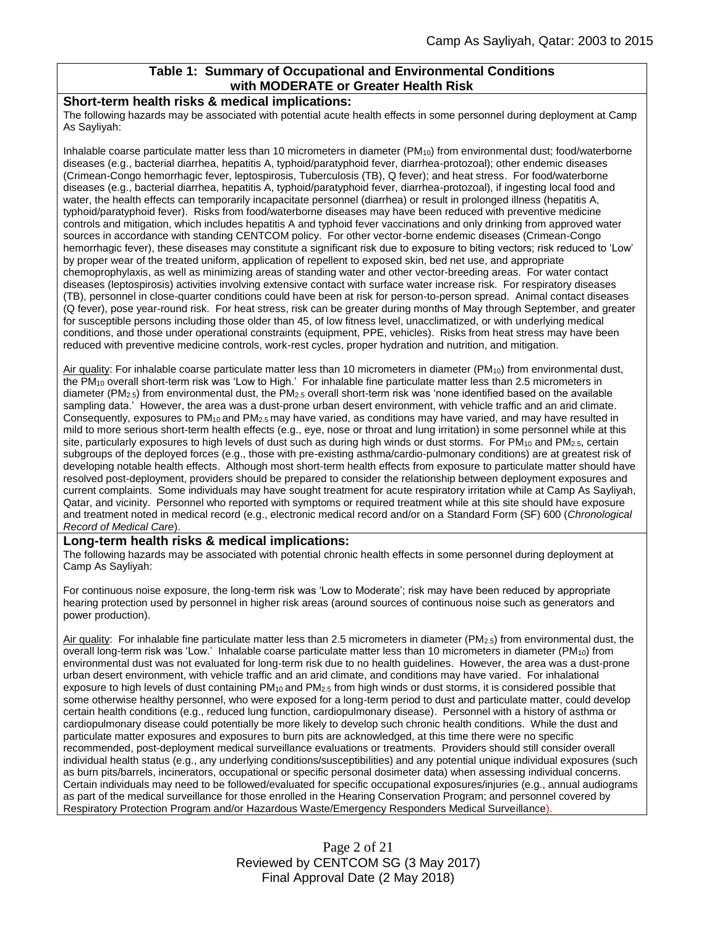### **Table 1: Summary of Occupational and Environmental Conditions with MODERATE or Greater Health Risk**

#### **Short-term health risks & medical implications:**

The following hazards may be associated with potential acute health effects in some personnel during deployment at Camp As Sayliyah:

Inhalable coarse particulate matter less than 10 micrometers in diameter  $(PM_{10})$  from environmental dust; food/waterborne diseases (e.g., bacterial diarrhea, hepatitis A, typhoid/paratyphoid fever, diarrhea-protozoal); other endemic diseases (Crimean-Congo hemorrhagic fever, leptospirosis, Tuberculosis (TB), Q fever); and heat stress. For food/waterborne diseases (e.g., bacterial diarrhea, hepatitis A, typhoid/paratyphoid fever, diarrhea-protozoal), if ingesting local food and water, the health effects can temporarily incapacitate personnel (diarrhea) or result in prolonged illness (hepatitis A, typhoid/paratyphoid fever). Risks from food/waterborne diseases may have been reduced with preventive medicine controls and mitigation, which includes hepatitis A and typhoid fever vaccinations and only drinking from approved water sources in accordance with standing CENTCOM policy. For other vector-borne endemic diseases (Crimean-Congo hemorrhagic fever), these diseases may constitute a significant risk due to exposure to biting vectors; risk reduced to 'Low' by proper wear of the treated uniform, application of repellent to exposed skin, bed net use, and appropriate chemoprophylaxis, as well as minimizing areas of standing water and other vector-breeding areas. For water contact diseases (leptospirosis) activities involving extensive contact with surface water increase risk. For respiratory diseases (TB), personnel in close-quarter conditions could have been at risk for person-to-person spread. Animal contact diseases (Q fever), pose year-round risk. For heat stress, risk can be greater during months of May through September, and greater for susceptible persons including those older than 45, of low fitness level, unacclimatized, or with underlying medical conditions, and those under operational constraints (equipment, PPE, vehicles). Risks from heat stress may have been reduced with preventive medicine controls, work-rest cycles, proper hydration and nutrition, and mitigation.

Air quality: For inhalable coarse particulate matter less than 10 micrometers in diameter (PM<sub>10</sub>) from environmental dust, the PM<sup>10</sup> overall short-term risk was 'Low to High.' For inhalable fine particulate matter less than 2.5 micrometers in diameter ( $PM_{2.5}$ ) from environmental dust, the  $PM_{2.5}$  overall short-term risk was 'none identified based on the available sampling data.' However, the area was a dust-prone urban desert environment, with vehicle traffic and an arid climate. Consequently, exposures to  $PM_{10}$  and  $PM_{2.5}$  may have varied, as conditions may have varied, and may have resulted in mild to more serious short-term health effects (e.g., eye, nose or throat and lung irritation) in some personnel while at this site, particularly exposures to high levels of dust such as during high winds or dust storms. For  $PM_{10}$  and  $PM_{2.5}$ , certain subgroups of the deployed forces (e.g., those with pre-existing asthma/cardio-pulmonary conditions) are at greatest risk of developing notable health effects. Although most short-term health effects from exposure to particulate matter should have resolved post-deployment, providers should be prepared to consider the relationship between deployment exposures and current complaints. Some individuals may have sought treatment for acute respiratory irritation while at Camp As Sayliyah, Qatar, and vicinity. Personnel who reported with symptoms or required treatment while at this site should have exposure and treatment noted in medical record (e.g., electronic medical record and/or on a Standard Form (SF) 600 (*Chronological Record of Medical Care*).

#### **Long-term health risks & medical implications:**

The following hazards may be associated with potential chronic health effects in some personnel during deployment at Camp As Sayliyah:

For continuous noise exposure, the long-term risk was 'Low to Moderate'; risk may have been reduced by appropriate hearing protection used by personnel in higher risk areas (around sources of continuous noise such as generators and power production).

Air quality: For inhalable fine particulate matter less than 2.5 micrometers in diameter ( $PM_{2.5}$ ) from environmental dust, the overall long-term risk was 'Low.' Inhalable coarse particulate matter less than 10 micrometers in diameter (PM<sub>10</sub>) from environmental dust was not evaluated for long-term risk due to no health guidelines. However, the area was a dust-prone urban desert environment, with vehicle traffic and an arid climate, and conditions may have varied. For inhalational exposure to high levels of dust containing PM<sub>10</sub> and PM<sub>2.5</sub> from high winds or dust storms, it is considered possible that some otherwise healthy personnel, who were exposed for a long-term period to dust and particulate matter, could develop certain health conditions (e.g., reduced lung function, cardiopulmonary disease). Personnel with a history of asthma or cardiopulmonary disease could potentially be more likely to develop such chronic health conditions. While the dust and particulate matter exposures and exposures to burn pits are acknowledged, at this time there were no specific recommended, post-deployment medical surveillance evaluations or treatments. Providers should still consider overall individual health status (e.g., any underlying conditions/susceptibilities) and any potential unique individual exposures (such as burn pits/barrels, incinerators, occupational or specific personal dosimeter data) when assessing individual concerns. Certain individuals may need to be followed/evaluated for specific occupational exposures/injuries (e.g., annual audiograms as part of the medical surveillance for those enrolled in the Hearing Conservation Program; and personnel covered by Respiratory Protection Program and/or Hazardous Waste/Emergency Responders Medical Surveillance).

> Page 2 of 21 Reviewed by CENTCOM SG (3 May 2017) Final Approval Date (2 May 2018)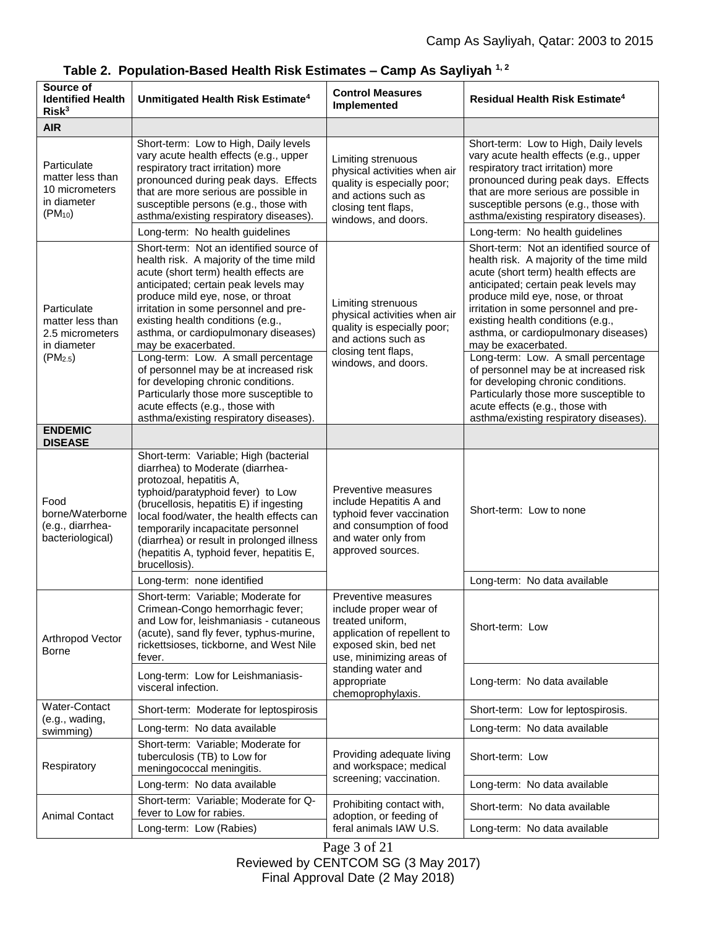| Source of<br><b>Identified Health</b><br>Risk <sup>3</sup>                         | Unmitigated Health Risk Estimate <sup>4</sup>                                                                                                                                                                                                                                                                                                                                     | <b>Control Measures</b><br>Implemented                                                                                                                                                                          | Residual Health Risk Estimate <sup>4</sup>                                                                                                                                                                                                                                                                  |
|------------------------------------------------------------------------------------|-----------------------------------------------------------------------------------------------------------------------------------------------------------------------------------------------------------------------------------------------------------------------------------------------------------------------------------------------------------------------------------|-----------------------------------------------------------------------------------------------------------------------------------------------------------------------------------------------------------------|-------------------------------------------------------------------------------------------------------------------------------------------------------------------------------------------------------------------------------------------------------------------------------------------------------------|
| <b>AIR</b>                                                                         |                                                                                                                                                                                                                                                                                                                                                                                   |                                                                                                                                                                                                                 |                                                                                                                                                                                                                                                                                                             |
| Particulate<br>matter less than<br>10 micrometers<br>in diameter<br>$(PM_{10})$    | Short-term: Low to High, Daily levels<br>vary acute health effects (e.g., upper<br>respiratory tract irritation) more<br>pronounced during peak days. Effects<br>that are more serious are possible in<br>susceptible persons (e.g., those with<br>asthma/existing respiratory diseases).                                                                                         | Limiting strenuous<br>physical activities when air<br>quality is especially poor;<br>and actions such as<br>closing tent flaps,<br>windows, and doors.                                                          | Short-term: Low to High, Daily levels<br>vary acute health effects (e.g., upper<br>respiratory tract irritation) more<br>pronounced during peak days. Effects<br>that are more serious are possible in<br>susceptible persons (e.g., those with<br>asthma/existing respiratory diseases).                   |
|                                                                                    | Long-term: No health guidelines                                                                                                                                                                                                                                                                                                                                                   |                                                                                                                                                                                                                 | Long-term: No health guidelines<br>Short-term: Not an identified source of                                                                                                                                                                                                                                  |
| Particulate<br>matter less than<br>2.5 micrometers<br>in diameter<br>$(PM_{2.5})$  | Short-term: Not an identified source of<br>health risk. A majority of the time mild<br>acute (short term) health effects are<br>anticipated; certain peak levels may<br>produce mild eye, nose, or throat<br>irritation in some personnel and pre-<br>existing health conditions (e.g.,<br>asthma, or cardiopulmonary diseases)<br>may be exacerbated.                            | Limiting strenuous<br>physical activities when air<br>quality is especially poor;<br>and actions such as<br>closing tent flaps,<br>windows, and doors.                                                          | health risk. A majority of the time mild<br>acute (short term) health effects are<br>anticipated; certain peak levels may<br>produce mild eye, nose, or throat<br>irritation in some personnel and pre-<br>existing health conditions (e.g.,<br>asthma, or cardiopulmonary diseases)<br>may be exacerbated. |
|                                                                                    | Long-term: Low. A small percentage<br>of personnel may be at increased risk<br>for developing chronic conditions.<br>Particularly those more susceptible to<br>acute effects (e.g., those with<br>asthma/existing respiratory diseases).                                                                                                                                          |                                                                                                                                                                                                                 | Long-term: Low. A small percentage<br>of personnel may be at increased risk<br>for developing chronic conditions.<br>Particularly those more susceptible to<br>acute effects (e.g., those with<br>asthma/existing respiratory diseases).                                                                    |
| <b>ENDEMIC</b>                                                                     |                                                                                                                                                                                                                                                                                                                                                                                   |                                                                                                                                                                                                                 |                                                                                                                                                                                                                                                                                                             |
| <b>DISEASE</b><br>Food<br>borne/Waterborne<br>(e.g., diarrhea-<br>bacteriological) | Short-term: Variable; High (bacterial<br>diarrhea) to Moderate (diarrhea-<br>protozoal, hepatitis A,<br>typhoid/paratyphoid fever) to Low<br>(brucellosis, hepatitis E) if ingesting<br>local food/water, the health effects can<br>temporarily incapacitate personnel<br>(diarrhea) or result in prolonged illness<br>(hepatitis A, typhoid fever, hepatitis E,<br>brucellosis). | Preventive measures<br>include Hepatitis A and<br>typhoid fever vaccination<br>and consumption of food<br>and water only from<br>approved sources.                                                              | Short-term: Low to none                                                                                                                                                                                                                                                                                     |
|                                                                                    | Long-term: none identified                                                                                                                                                                                                                                                                                                                                                        |                                                                                                                                                                                                                 | Long-term: No data available                                                                                                                                                                                                                                                                                |
| Arthropod Vector<br>Borne                                                          | Short-term: Variable; Moderate for<br>Crimean-Congo hemorrhagic fever;<br>and Low for, leishmaniasis - cutaneous<br>(acute), sand fly fever, typhus-murine,<br>rickettsioses, tickborne, and West Nile<br>fever.                                                                                                                                                                  | Preventive measures<br>include proper wear of<br>treated uniform.<br>application of repellent to<br>exposed skin, bed net<br>use, minimizing areas of<br>standing water and<br>appropriate<br>chemoprophylaxis. | Short-term: Low                                                                                                                                                                                                                                                                                             |
|                                                                                    | Long-term: Low for Leishmaniasis-<br>visceral infection.                                                                                                                                                                                                                                                                                                                          |                                                                                                                                                                                                                 | Long-term: No data available                                                                                                                                                                                                                                                                                |
| Water-Contact<br>(e.g., wading,<br>swimming)                                       | Short-term: Moderate for leptospirosis                                                                                                                                                                                                                                                                                                                                            |                                                                                                                                                                                                                 | Short-term: Low for leptospirosis.                                                                                                                                                                                                                                                                          |
|                                                                                    | Long-term: No data available                                                                                                                                                                                                                                                                                                                                                      |                                                                                                                                                                                                                 | Long-term: No data available                                                                                                                                                                                                                                                                                |
| Respiratory                                                                        | Short-term: Variable; Moderate for<br>tuberculosis (TB) to Low for<br>meningococcal meningitis.                                                                                                                                                                                                                                                                                   | Providing adequate living<br>and workspace; medical<br>screening; vaccination.                                                                                                                                  | Short-term: Low                                                                                                                                                                                                                                                                                             |
|                                                                                    | Long-term: No data available                                                                                                                                                                                                                                                                                                                                                      |                                                                                                                                                                                                                 | Long-term: No data available                                                                                                                                                                                                                                                                                |
| <b>Animal Contact</b>                                                              | Short-term: Variable; Moderate for Q-<br>fever to Low for rabies.                                                                                                                                                                                                                                                                                                                 | Prohibiting contact with,<br>adoption, or feeding of<br>feral animals IAW U.S.                                                                                                                                  | Short-term: No data available                                                                                                                                                                                                                                                                               |
|                                                                                    | Long-term: Low (Rabies)                                                                                                                                                                                                                                                                                                                                                           |                                                                                                                                                                                                                 | Long-term: No data available                                                                                                                                                                                                                                                                                |

# **Table 2. Population-Based Health Risk Estimates – Camp As Sayliyah 1, 2**

Page 3 of 21 Reviewed by CENTCOM SG (3 May 2017) Final Approval Date (2 May 2018)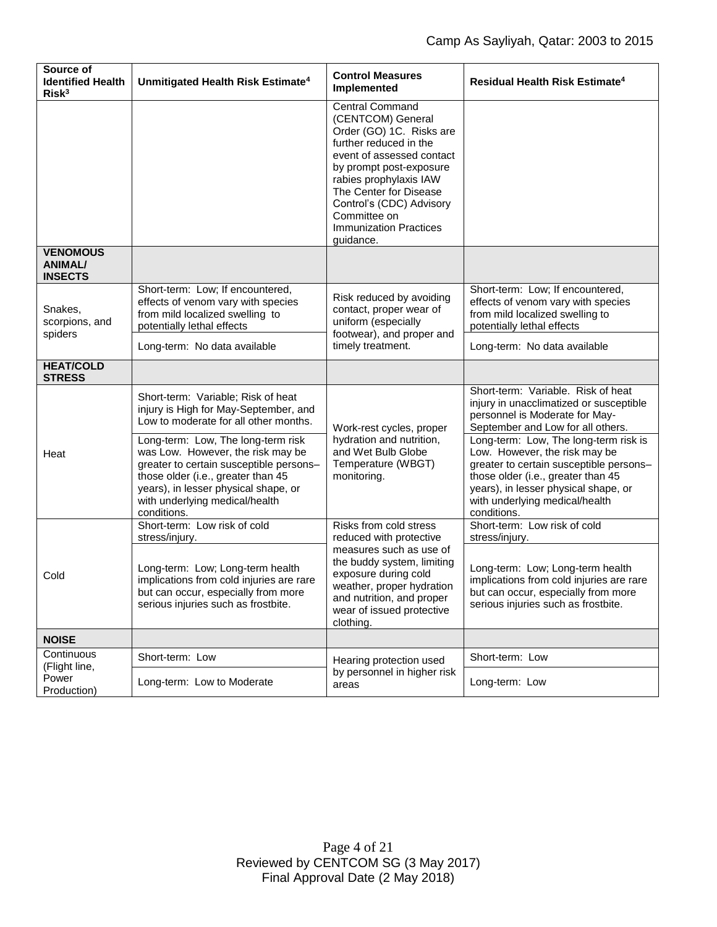| Source of<br><b>Identified Health</b><br>Risk <sup>3</sup> | Unmitigated Health Risk Estimate <sup>4</sup>                                                                                                                                                                                                     | <b>Control Measures</b><br>Implemented                                                                                                                                                                                                                                                                  | Residual Health Risk Estimate <sup>4</sup>                                                                                                                                                                                                       |
|------------------------------------------------------------|---------------------------------------------------------------------------------------------------------------------------------------------------------------------------------------------------------------------------------------------------|---------------------------------------------------------------------------------------------------------------------------------------------------------------------------------------------------------------------------------------------------------------------------------------------------------|--------------------------------------------------------------------------------------------------------------------------------------------------------------------------------------------------------------------------------------------------|
|                                                            |                                                                                                                                                                                                                                                   | <b>Central Command</b><br>(CENTCOM) General<br>Order (GO) 1C. Risks are<br>further reduced in the<br>event of assessed contact<br>by prompt post-exposure<br>rabies prophylaxis IAW<br>The Center for Disease<br>Control's (CDC) Advisory<br>Committee on<br><b>Immunization Practices</b><br>quidance. |                                                                                                                                                                                                                                                  |
| <b>VENOMOUS</b><br><b>ANIMAL/</b><br><b>INSECTS</b>        |                                                                                                                                                                                                                                                   |                                                                                                                                                                                                                                                                                                         |                                                                                                                                                                                                                                                  |
| Snakes,<br>scorpions, and<br>spiders                       | Short-term: Low; If encountered,<br>effects of venom vary with species<br>from mild localized swelling to<br>potentially lethal effects                                                                                                           | Risk reduced by avoiding<br>contact, proper wear of<br>uniform (especially<br>footwear), and proper and<br>timely treatment.                                                                                                                                                                            | Short-term: Low; If encountered,<br>effects of venom vary with species<br>from mild localized swelling to<br>potentially lethal effects                                                                                                          |
|                                                            | Long-term: No data available                                                                                                                                                                                                                      |                                                                                                                                                                                                                                                                                                         | Long-term: No data available                                                                                                                                                                                                                     |
| <b>HEAT/COLD</b><br><b>STRESS</b>                          |                                                                                                                                                                                                                                                   |                                                                                                                                                                                                                                                                                                         |                                                                                                                                                                                                                                                  |
| Heat                                                       | Short-term: Variable; Risk of heat<br>injury is High for May-September, and<br>Low to moderate for all other months.                                                                                                                              | Work-rest cycles, proper<br>hydration and nutrition,<br>and Wet Bulb Globe<br>Temperature (WBGT)<br>monitoring.                                                                                                                                                                                         | Short-term: Variable. Risk of heat<br>injury in unacclimatized or susceptible<br>personnel is Moderate for May-<br>September and Low for all others.                                                                                             |
|                                                            | Long-term: Low, The long-term risk<br>was Low. However, the risk may be<br>greater to certain susceptible persons-<br>those older (i.e., greater than 45<br>years), in lesser physical shape, or<br>with underlying medical/health<br>conditions. |                                                                                                                                                                                                                                                                                                         | Long-term: Low, The long-term risk is<br>Low. However, the risk may be<br>greater to certain susceptible persons-<br>those older (i.e., greater than 45<br>years), in lesser physical shape, or<br>with underlying medical/health<br>conditions. |
| Cold                                                       | Short-term: Low risk of cold<br>stress/injury.                                                                                                                                                                                                    | Risks from cold stress<br>reduced with protective                                                                                                                                                                                                                                                       | Short-term: Low risk of cold<br>stress/injury.                                                                                                                                                                                                   |
|                                                            | Long-term: Low; Long-term health<br>implications from cold injuries are rare<br>but can occur, especially from more<br>serious injuries such as frostbite.                                                                                        | measures such as use of<br>the buddy system, limiting<br>exposure during cold<br>weather, proper hydration<br>and nutrition, and proper<br>wear of issued protective<br>clothing.                                                                                                                       | Long-term: Low; Long-term health<br>implications from cold injuries are rare<br>but can occur, especially from more<br>serious injuries such as frostbite.                                                                                       |
| <b>NOISE</b>                                               |                                                                                                                                                                                                                                                   |                                                                                                                                                                                                                                                                                                         |                                                                                                                                                                                                                                                  |
| Continuous<br>(Flight line,<br>Power<br>Production)        | Short-term: Low                                                                                                                                                                                                                                   | Hearing protection used<br>by personnel in higher risk<br>areas                                                                                                                                                                                                                                         | Short-term: Low                                                                                                                                                                                                                                  |
|                                                            | Long-term: Low to Moderate                                                                                                                                                                                                                        |                                                                                                                                                                                                                                                                                                         | Long-term: Low                                                                                                                                                                                                                                   |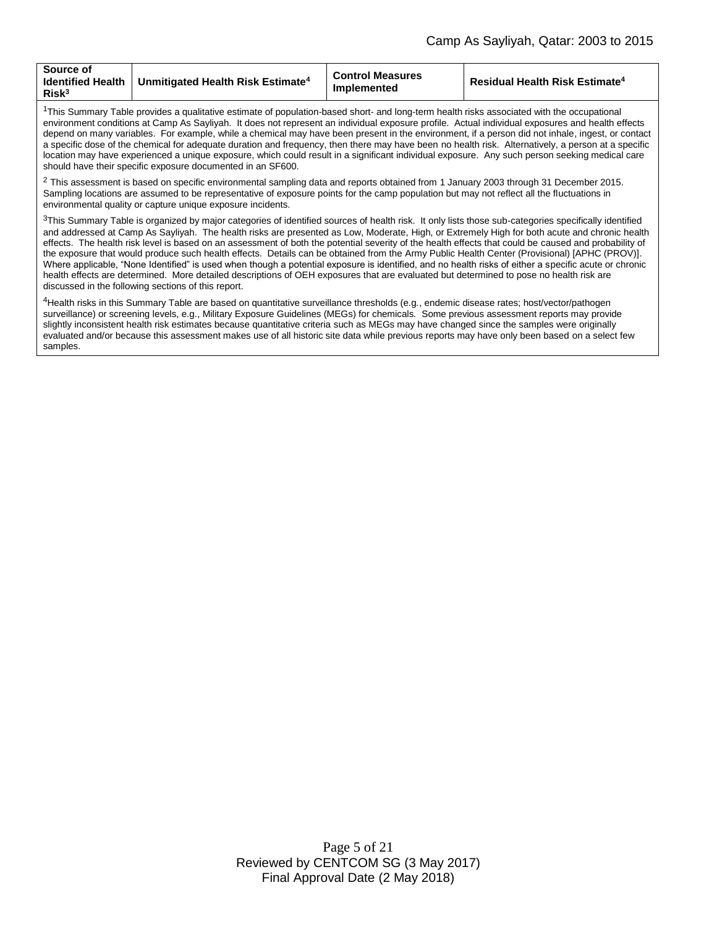| Source of<br><b>Identified Health</b><br>Unmitigated Health Risk Estimate <sup>4</sup><br>$R$ isk $3$ | <b>Control Measures</b><br>Implemented | <b>Residual Health Risk Estimate<sup>4</sup></b> |
|-------------------------------------------------------------------------------------------------------|----------------------------------------|--------------------------------------------------|
|-------------------------------------------------------------------------------------------------------|----------------------------------------|--------------------------------------------------|

<sup>1</sup>This Summary Table provides a qualitative estimate of population-based short- and long-term health risks associated with the occupational environment conditions at Camp As Sayliyah. It does not represent an individual exposure profile. Actual individual exposures and health effects depend on many variables. For example, while a chemical may have been present in the environment, if a person did not inhale, ingest, or contact a specific dose of the chemical for adequate duration and frequency, then there may have been no health risk. Alternatively, a person at a specific location may have experienced a unique exposure, which could result in a significant individual exposure. Any such person seeking medical care should have their specific exposure documented in an SF600.

 $^2$  This assessment is based on specific environmental sampling data and reports obtained from 1 January 2003 through 31 December 2015. Sampling locations are assumed to be representative of exposure points for the camp population but may not reflect all the fluctuations in environmental quality or capture unique exposure incidents.

<sup>3</sup>This Summary Table is organized by major categories of identified sources of health risk. It only lists those sub-categories specifically identified and addressed at Camp As Sayliyah. The health risks are presented as Low, Moderate, High, or Extremely High for both acute and chronic health effects. The health risk level is based on an assessment of both the potential severity of the health effects that could be caused and probability of the exposure that would produce such health effects. Details can be obtained from the Army Public Health Center (Provisional) [APHC (PROV)]. Where applicable, "None Identified" is used when though a potential exposure is identified, and no health risks of either a specific acute or chronic health effects are determined. More detailed descriptions of OEH exposures that are evaluated but determined to pose no health risk are discussed in the following sections of this report.

<sup>4</sup>Health risks in this Summary Table are based on quantitative surveillance thresholds (e.g., endemic disease rates; host/vector/pathogen surveillance) or screening levels, e.g., Military Exposure Guidelines (MEGs) for chemicals*.* Some previous assessment reports may provide slightly inconsistent health risk estimates because quantitative criteria such as MEGs may have changed since the samples were originally evaluated and/or because this assessment makes use of all historic site data while previous reports may have only been based on a select few samples.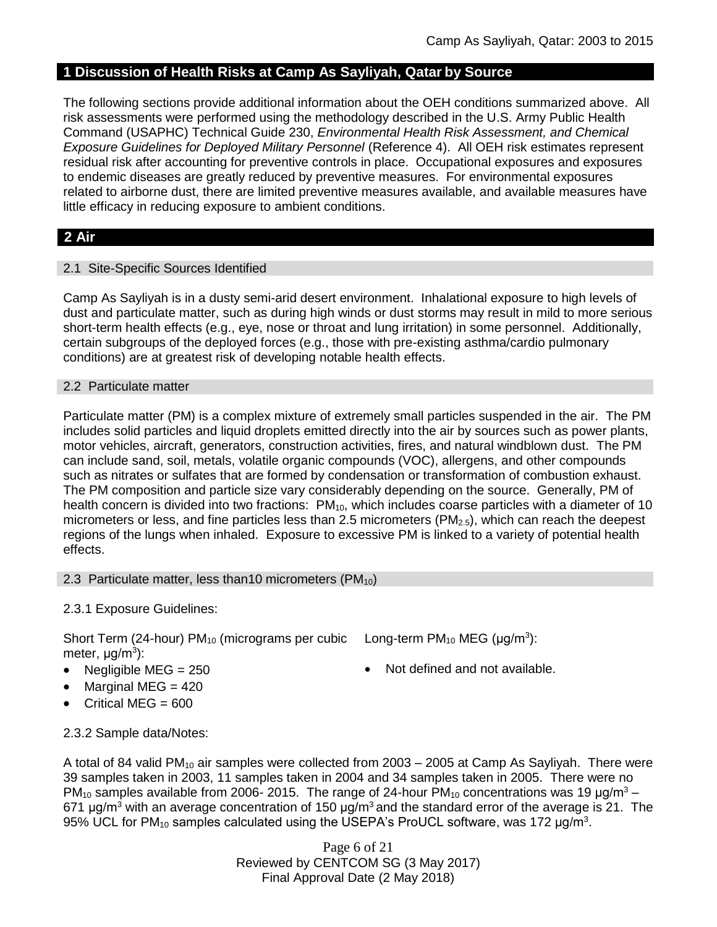# **1 Discussion of Health Risks at Camp As Sayliyah, Qatar by Source**

The following sections provide additional information about the OEH conditions summarized above. All risk assessments were performed using the methodology described in the U.S. Army Public Health Command (USAPHC) Technical Guide 230, *Environmental Health Risk Assessment, and Chemical Exposure Guidelines for Deployed Military Personnel* (Reference 4). All OEH risk estimates represent residual risk after accounting for preventive controls in place. Occupational exposures and exposures to endemic diseases are greatly reduced by preventive measures. For environmental exposures related to airborne dust, there are limited preventive measures available, and available measures have little efficacy in reducing exposure to ambient conditions.

# **2 Air**

### 2.1 Site-Specific Sources Identified

Camp As Sayliyah is in a dusty semi-arid desert environment. Inhalational exposure to high levels of dust and particulate matter, such as during high winds or dust storms may result in mild to more serious short-term health effects (e.g., eye, nose or throat and lung irritation) in some personnel. Additionally, certain subgroups of the deployed forces (e.g., those with pre-existing asthma/cardio pulmonary conditions) are at greatest risk of developing notable health effects.

### 2.2 Particulate matter

Particulate matter (PM) is a complex mixture of extremely small particles suspended in the air. The PM includes solid particles and liquid droplets emitted directly into the air by sources such as power plants, motor vehicles, aircraft, generators, construction activities, fires, and natural windblown dust. The PM can include sand, soil, metals, volatile organic compounds (VOC), allergens, and other compounds such as nitrates or sulfates that are formed by condensation or transformation of combustion exhaust. The PM composition and particle size vary considerably depending on the source. Generally, PM of health concern is divided into two fractions:  $PM_{10}$ , which includes coarse particles with a diameter of 10 micrometers or less, and fine particles less than 2.5 micrometers (PM<sub>2.5</sub>), which can reach the deepest regions of the lungs when inhaled. Exposure to excessive PM is linked to a variety of potential health effects.

### 2.3 Particulate matter, less than10 micrometers (PM<sub>10</sub>)

# 2.3.1 Exposure Guidelines:

Short Term (24-hour)  $PM_{10}$  (micrograms per cubic Long-term  $PM_{10}$  MEG ( $\mu$ g/m<sup>3</sup>): meter, μg/m<sup>3</sup>):

- 
- $\bullet$  Marginal MEG = 420
- Critical MEG = 600
- 
- Negligible  $MEG = 250$   $\bullet$  Not defined and not available.

### 2.3.2 Sample data/Notes:

A total of 84 valid PM<sub>10</sub> air samples were collected from 2003 – 2005 at Camp As Sayliyah. There were 39 samples taken in 2003, 11 samples taken in 2004 and 34 samples taken in 2005. There were no PM<sub>10</sub> samples available from 2006- 2015. The range of 24-hour PM<sub>10</sub> concentrations was 19  $\mu$ g/m<sup>3</sup> – 671  $\mu$ g/m<sup>3</sup> with an average concentration of 150  $\mu$ g/m<sup>3</sup> and the standard error of the average is 21. The 95% UCL for PM<sub>10</sub> samples calculated using the USEPA's ProUCL software, was 172  $\mu$ g/m<sup>3</sup>.

> Page 6 of 21 Reviewed by CENTCOM SG (3 May 2017) Final Approval Date (2 May 2018)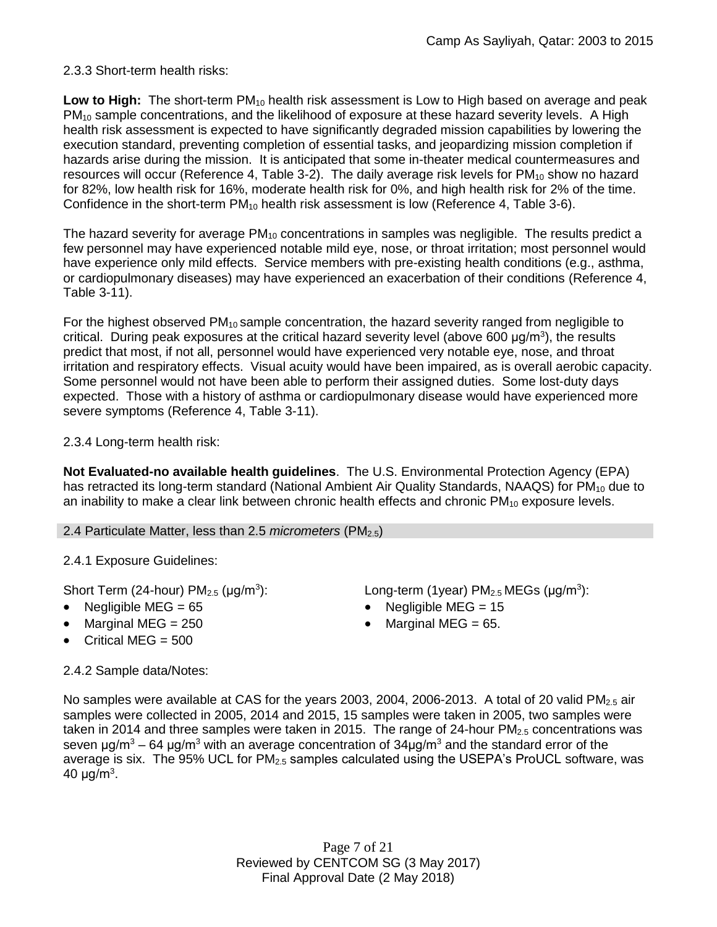# 2.3.3 Short-term health risks:

**Low to High:** The short-term PM<sub>10</sub> health risk assessment is Low to High based on average and peak PM<sub>10</sub> sample concentrations, and the likelihood of exposure at these hazard severity levels. A High health risk assessment is expected to have significantly degraded mission capabilities by lowering the execution standard, preventing completion of essential tasks, and jeopardizing mission completion if hazards arise during the mission. It is anticipated that some in-theater medical countermeasures and resources will occur (Reference 4, Table 3-2). The daily average risk levels for  $PM_{10}$  show no hazard for 82%, low health risk for 16%, moderate health risk for 0%, and high health risk for 2% of the time. Confidence in the short-term PM<sub>10</sub> health risk assessment is low (Reference 4, Table 3-6).

The hazard severity for average  $PM_{10}$  concentrations in samples was negligible. The results predict a few personnel may have experienced notable mild eye, nose, or throat irritation; most personnel would have experience only mild effects. Service members with pre-existing health conditions (e.g., asthma, or cardiopulmonary diseases) may have experienced an exacerbation of their conditions (Reference 4, Table 3-11).

For the highest observed PM<sub>10</sub> sample concentration, the hazard severity ranged from negligible to critical. During peak exposures at the critical hazard severity level (above 600  $\mu$ g/m<sup>3</sup>), the results predict that most, if not all, personnel would have experienced very notable eye, nose, and throat irritation and respiratory effects. Visual acuity would have been impaired, as is overall aerobic capacity. Some personnel would not have been able to perform their assigned duties. Some lost-duty days expected. Those with a history of asthma or cardiopulmonary disease would have experienced more severe symptoms (Reference 4, Table 3-11).

2.3.4 Long-term health risk:

**Not Evaluated-no available health guidelines**. The U.S. Environmental Protection Agency (EPA) has retracted its long-term standard (National Ambient Air Quality Standards, NAAQS) for  $PM_{10}$  due to an inability to make a clear link between chronic health effects and chronic  $PM_{10}$  exposure levels.

### 2.4 Particulate Matter, less than 2.5 *micrometers* (PM2.5)

2.4.1 Exposure Guidelines:

Short Term (24-hour)  $PM<sub>2.5</sub>$  ( $\mu$ g/m<sup>3</sup>):

- 
- Marginal MEG =  $250$  extended to Marginal MEG =  $65$ .
- $\bullet$  Critical MEG = 500

2.4.2 Sample data/Notes:

): Long-term (1year)  $PM_{2.5}$  MEGs ( $\mu$ g/m<sup>3</sup>):

- Negligible MEG = 65 Negligible MEG = 15
	-

No samples were available at CAS for the years 2003, 2004, 2006-2013. A total of 20 valid  $PM_{2.5}$  air samples were collected in 2005, 2014 and 2015, 15 samples were taken in 2005, two samples were taken in 2014 and three samples were taken in 2015. The range of 24-hour PM<sub>2.5</sub> concentrations was seven  $\mu q/m^3 - 64 \mu q/m^3$  with an average concentration of 34 $\mu q/m^3$  and the standard error of the average is six. The 95% UCL for PM<sub>2.5</sub> samples calculated using the USEPA's ProUCL software, was 40 μg/m $^3\mskip-5mu.$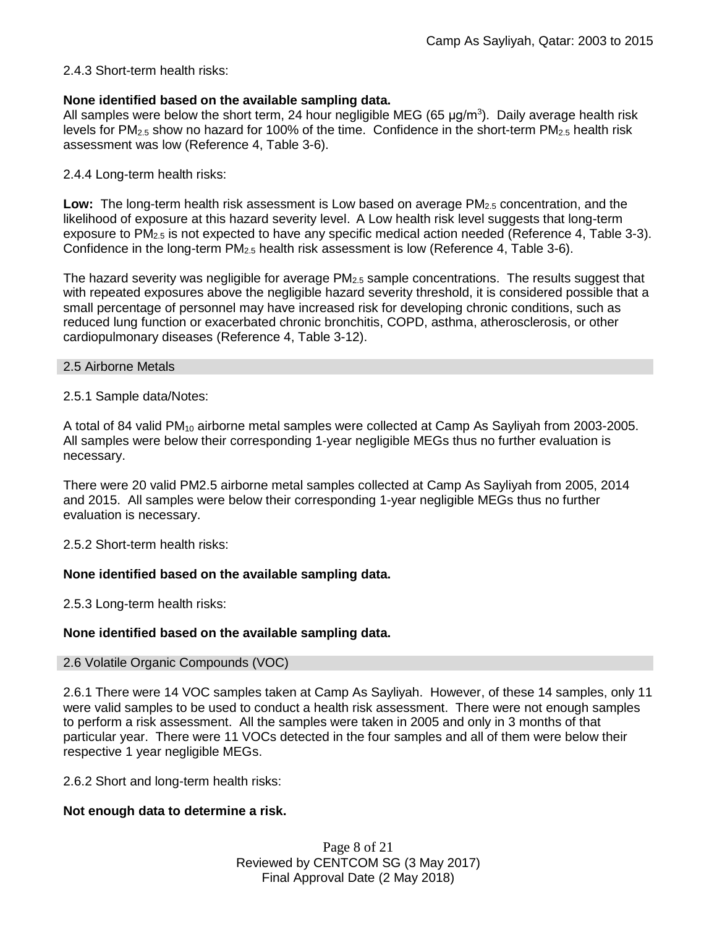### 2.4.3 Short-term health risks:

### **None identified based on the available sampling data.**

All samples were below the short term, 24 hour negligible MEG (65  $\mu$ g/m<sup>3</sup>). Daily average health risk levels for  $PM_{2.5}$  show no hazard for 100% of the time. Confidence in the short-term  $PM_{2.5}$  health risk assessment was low (Reference 4, Table 3-6).

### 2.4.4 Long-term health risks:

**Low:** The long-term health risk assessment is Low based on average PM<sub>2.5</sub> concentration, and the likelihood of exposure at this hazard severity level. A Low health risk level suggests that long-term exposure to  $PM<sub>2.5</sub>$  is not expected to have any specific medical action needed (Reference 4, Table 3-3). Confidence in the long-term  $PM_{2.5}$  health risk assessment is low (Reference 4, Table 3-6).

The hazard severity was negligible for average  $PM<sub>2.5</sub>$  sample concentrations. The results suggest that with repeated exposures above the negligible hazard severity threshold, it is considered possible that a small percentage of personnel may have increased risk for developing chronic conditions, such as reduced lung function or exacerbated chronic bronchitis, COPD, asthma, atherosclerosis, or other cardiopulmonary diseases (Reference 4, Table 3-12).

### 2.5 Airborne Metals

### 2.5.1 Sample data/Notes:

A total of 84 valid PM<sup>10</sup> airborne metal samples were collected at Camp As Sayliyah from 2003-2005. All samples were below their corresponding 1-year negligible MEGs thus no further evaluation is necessary.

There were 20 valid PM2.5 airborne metal samples collected at Camp As Sayliyah from 2005, 2014 and 2015. All samples were below their corresponding 1-year negligible MEGs thus no further evaluation is necessary.

2.5.2 Short-term health risks:

# **None identified based on the available sampling data.**

2.5.3 Long-term health risks:

### **None identified based on the available sampling data.**

### 2.6 Volatile Organic Compounds (VOC)

2.6.1 There were 14 VOC samples taken at Camp As Sayliyah. However, of these 14 samples, only 11 were valid samples to be used to conduct a health risk assessment. There were not enough samples to perform a risk assessment. All the samples were taken in 2005 and only in 3 months of that particular year. There were 11 VOCs detected in the four samples and all of them were below their respective 1 year negligible MEGs.

2.6.2 Short and long-term health risks:

# **Not enough data to determine a risk.**

Page 8 of 21 Reviewed by CENTCOM SG (3 May 2017) Final Approval Date (2 May 2018)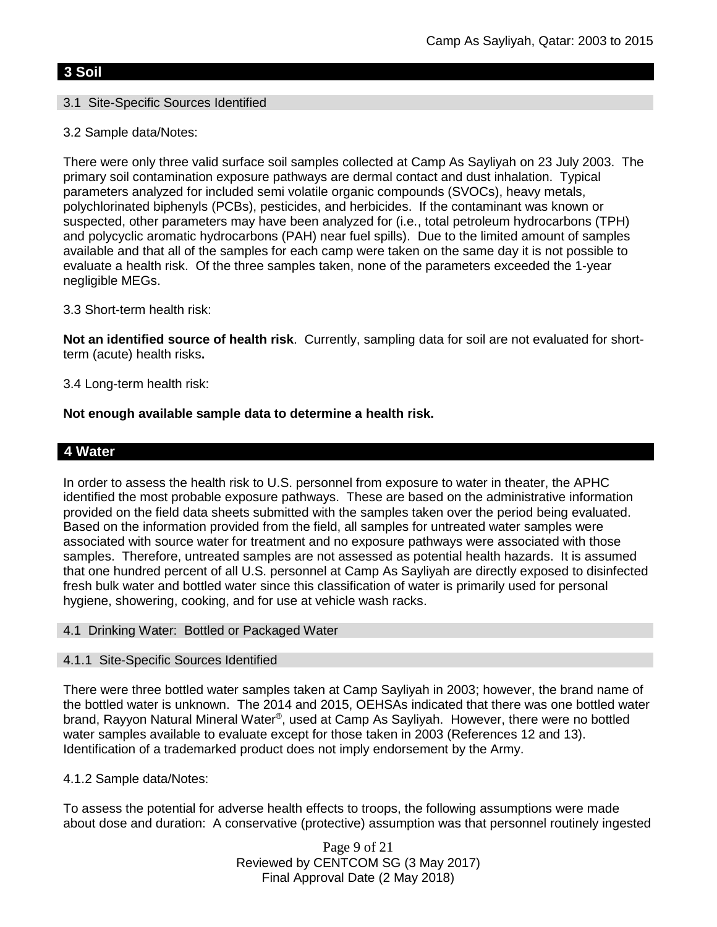# **3 Soil**

# 3.1 Site-Specific Sources Identified

3.2 Sample data/Notes:

There were only three valid surface soil samples collected at Camp As Sayliyah on 23 July 2003. The primary soil contamination exposure pathways are dermal contact and dust inhalation. Typical parameters analyzed for included semi volatile organic compounds (SVOCs), heavy metals, polychlorinated biphenyls (PCBs), pesticides, and herbicides. If the contaminant was known or suspected, other parameters may have been analyzed for (i.e., total petroleum hydrocarbons (TPH) and polycyclic aromatic hydrocarbons (PAH) near fuel spills). Due to the limited amount of samples available and that all of the samples for each camp were taken on the same day it is not possible to evaluate a health risk. Of the three samples taken, none of the parameters exceeded the 1-year negligible MEGs.

3.3 Short-term health risk:

**Not an identified source of health risk**. Currently, sampling data for soil are not evaluated for shortterm (acute) health risks**.**

3.4 Long-term health risk:

### **Not enough available sample data to determine a health risk.**

# **4 Water**

In order to assess the health risk to U.S. personnel from exposure to water in theater, the APHC identified the most probable exposure pathways. These are based on the administrative information provided on the field data sheets submitted with the samples taken over the period being evaluated. Based on the information provided from the field, all samples for untreated water samples were associated with source water for treatment and no exposure pathways were associated with those samples. Therefore, untreated samples are not assessed as potential health hazards. It is assumed that one hundred percent of all U.S. personnel at Camp As Sayliyah are directly exposed to disinfected fresh bulk water and bottled water since this classification of water is primarily used for personal hygiene, showering, cooking, and for use at vehicle wash racks.

### 4.1 Drinking Water: Bottled or Packaged Water

### 4.1.1 Site-Specific Sources Identified

There were three bottled water samples taken at Camp Sayliyah in 2003; however, the brand name of the bottled water is unknown. The 2014 and 2015, OEHSAs indicated that there was one bottled water brand, Rayyon Natural Mineral Water®, used at Camp As Sayliyah. However, there were no bottled water samples available to evaluate except for those taken in 2003 (References 12 and 13). Identification of a trademarked product does not imply endorsement by the Army.

### 4.1.2 Sample data/Notes:

To assess the potential for adverse health effects to troops, the following assumptions were made about dose and duration: A conservative (protective) assumption was that personnel routinely ingested

> Page 9 of 21 Reviewed by CENTCOM SG (3 May 2017) Final Approval Date (2 May 2018)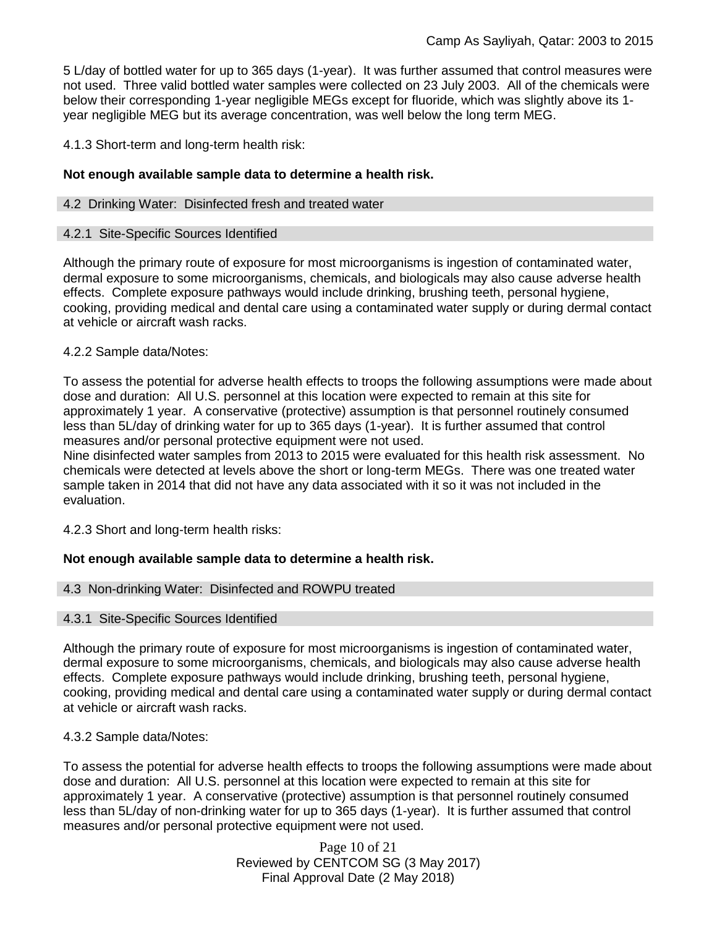5 L/day of bottled water for up to 365 days (1-year). It was further assumed that control measures were not used. Three valid bottled water samples were collected on 23 July 2003. All of the chemicals were below their corresponding 1-year negligible MEGs except for fluoride, which was slightly above its 1 year negligible MEG but its average concentration, was well below the long term MEG.

4.1.3 Short-term and long-term health risk:

### **Not enough available sample data to determine a health risk.**

### 4.2 Drinking Water: Disinfected fresh and treated water

### 4.2.1 Site-Specific Sources Identified

Although the primary route of exposure for most microorganisms is ingestion of contaminated water, dermal exposure to some microorganisms, chemicals, and biologicals may also cause adverse health effects. Complete exposure pathways would include drinking, brushing teeth, personal hygiene, cooking, providing medical and dental care using a contaminated water supply or during dermal contact at vehicle or aircraft wash racks.

### 4.2.2 Sample data/Notes:

To assess the potential for adverse health effects to troops the following assumptions were made about dose and duration: All U.S. personnel at this location were expected to remain at this site for approximately 1 year. A conservative (protective) assumption is that personnel routinely consumed less than 5L/day of drinking water for up to 365 days (1-year). It is further assumed that control measures and/or personal protective equipment were not used.

Nine disinfected water samples from 2013 to 2015 were evaluated for this health risk assessment. No chemicals were detected at levels above the short or long-term MEGs. There was one treated water sample taken in 2014 that did not have any data associated with it so it was not included in the evaluation.

4.2.3 Short and long-term health risks:

# **Not enough available sample data to determine a health risk.**

# 4.3 Non-drinking Water: Disinfected and ROWPU treated

### 4.3.1 Site-Specific Sources Identified

Although the primary route of exposure for most microorganisms is ingestion of contaminated water, dermal exposure to some microorganisms, chemicals, and biologicals may also cause adverse health effects. Complete exposure pathways would include drinking, brushing teeth, personal hygiene, cooking, providing medical and dental care using a contaminated water supply or during dermal contact at vehicle or aircraft wash racks.

# 4.3.2 Sample data/Notes:

To assess the potential for adverse health effects to troops the following assumptions were made about dose and duration: All U.S. personnel at this location were expected to remain at this site for approximately 1 year. A conservative (protective) assumption is that personnel routinely consumed less than 5L/day of non-drinking water for up to 365 days (1-year). It is further assumed that control measures and/or personal protective equipment were not used.

> Page 10 of 21 Reviewed by CENTCOM SG (3 May 2017) Final Approval Date (2 May 2018)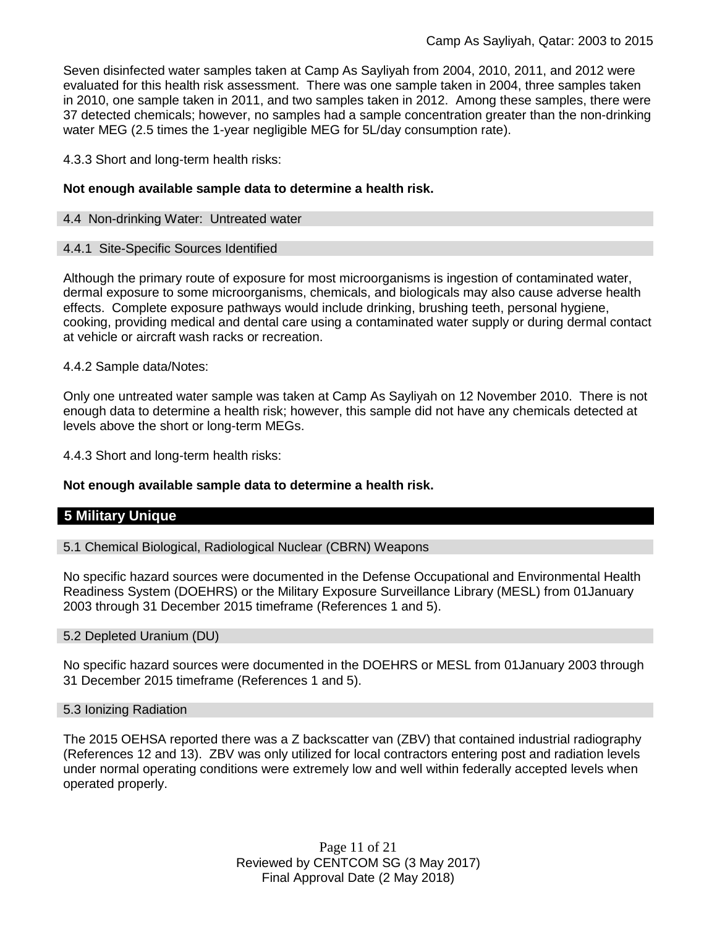Seven disinfected water samples taken at Camp As Sayliyah from 2004, 2010, 2011, and 2012 were evaluated for this health risk assessment. There was one sample taken in 2004, three samples taken in 2010, one sample taken in 2011, and two samples taken in 2012. Among these samples, there were 37 detected chemicals; however, no samples had a sample concentration greater than the non-drinking water MEG (2.5 times the 1-year negligible MEG for 5L/day consumption rate).

4.3.3 Short and long-term health risks:

### **Not enough available sample data to determine a health risk.**

#### 4.4 Non-drinking Water: Untreated water

#### 4.4.1 Site-Specific Sources Identified

Although the primary route of exposure for most microorganisms is ingestion of contaminated water, dermal exposure to some microorganisms, chemicals, and biologicals may also cause adverse health effects. Complete exposure pathways would include drinking, brushing teeth, personal hygiene, cooking, providing medical and dental care using a contaminated water supply or during dermal contact at vehicle or aircraft wash racks or recreation.

4.4.2 Sample data/Notes:

Only one untreated water sample was taken at Camp As Sayliyah on 12 November 2010. There is not enough data to determine a health risk; however, this sample did not have any chemicals detected at levels above the short or long-term MEGs.

4.4.3 Short and long-term health risks:

### **Not enough available sample data to determine a health risk.**

# **5 Military Unique**

5.1 Chemical Biological, Radiological Nuclear (CBRN) Weapons

No specific hazard sources were documented in the Defense Occupational and Environmental Health Readiness System (DOEHRS) or the Military Exposure Surveillance Library (MESL) from 01January 2003 through 31 December 2015 timeframe (References 1 and 5).

#### 5.2 Depleted Uranium (DU)

No specific hazard sources were documented in the DOEHRS or MESL from 01January 2003 through 31 December 2015 timeframe (References 1 and 5).

#### 5.3 Ionizing Radiation

The 2015 OEHSA reported there was a Z backscatter van (ZBV) that contained industrial radiography (References 12 and 13). ZBV was only utilized for local contractors entering post and radiation levels under normal operating conditions were extremely low and well within federally accepted levels when operated properly.

> Page 11 of 21 Reviewed by CENTCOM SG (3 May 2017) Final Approval Date (2 May 2018)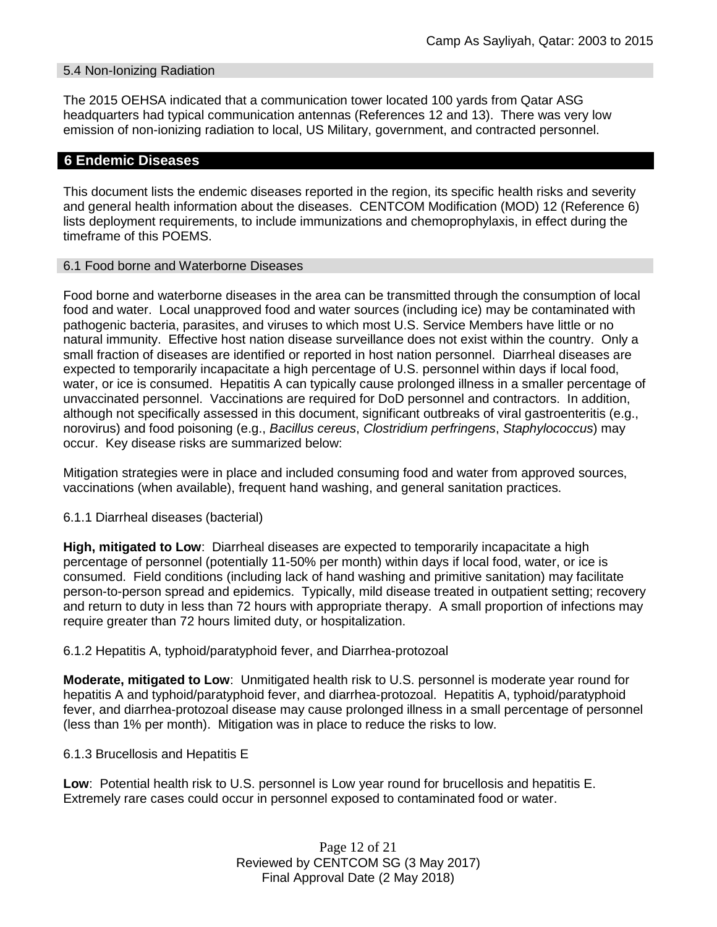### 5.4 Non-Ionizing Radiation

The 2015 OEHSA indicated that a communication tower located 100 yards from Qatar ASG headquarters had typical communication antennas (References 12 and 13). There was very low emission of non-ionizing radiation to local, US Military, government, and contracted personnel.

### **6 Endemic Diseases**

This document lists the endemic diseases reported in the region, its specific health risks and severity and general health information about the diseases. CENTCOM Modification (MOD) 12 (Reference 6) lists deployment requirements, to include immunizations and chemoprophylaxis, in effect during the timeframe of this POEMS.

#### 6.1 Food borne and Waterborne Diseases

Food borne and waterborne diseases in the area can be transmitted through the consumption of local food and water. Local unapproved food and water sources (including ice) may be contaminated with pathogenic bacteria, parasites, and viruses to which most U.S. Service Members have little or no natural immunity. Effective host nation disease surveillance does not exist within the country. Only a small fraction of diseases are identified or reported in host nation personnel. Diarrheal diseases are expected to temporarily incapacitate a high percentage of U.S. personnel within days if local food, water, or ice is consumed. Hepatitis A can typically cause prolonged illness in a smaller percentage of unvaccinated personnel. Vaccinations are required for DoD personnel and contractors. In addition, although not specifically assessed in this document, significant outbreaks of viral gastroenteritis (e.g., norovirus) and food poisoning (e.g., *Bacillus cereus*, *Clostridium perfringens*, *Staphylococcus*) may occur. Key disease risks are summarized below:

Mitigation strategies were in place and included consuming food and water from approved sources, vaccinations (when available), frequent hand washing, and general sanitation practices.

#### 6.1.1 Diarrheal diseases (bacterial)

**High, mitigated to Low**: Diarrheal diseases are expected to temporarily incapacitate a high percentage of personnel (potentially 11-50% per month) within days if local food, water, or ice is consumed. Field conditions (including lack of hand washing and primitive sanitation) may facilitate person-to-person spread and epidemics. Typically, mild disease treated in outpatient setting; recovery and return to duty in less than 72 hours with appropriate therapy. A small proportion of infections may require greater than 72 hours limited duty, or hospitalization.

#### 6.1.2 Hepatitis A, typhoid/paratyphoid fever, and Diarrhea-protozoal

**Moderate, mitigated to Low**: Unmitigated health risk to U.S. personnel is moderate year round for hepatitis A and typhoid/paratyphoid fever, and diarrhea-protozoal. Hepatitis A, typhoid/paratyphoid fever, and diarrhea-protozoal disease may cause prolonged illness in a small percentage of personnel (less than 1% per month). Mitigation was in place to reduce the risks to low.

#### 6.1.3 Brucellosis and Hepatitis E

**Low**: Potential health risk to U.S. personnel is Low year round for brucellosis and hepatitis E. Extremely rare cases could occur in personnel exposed to contaminated food or water.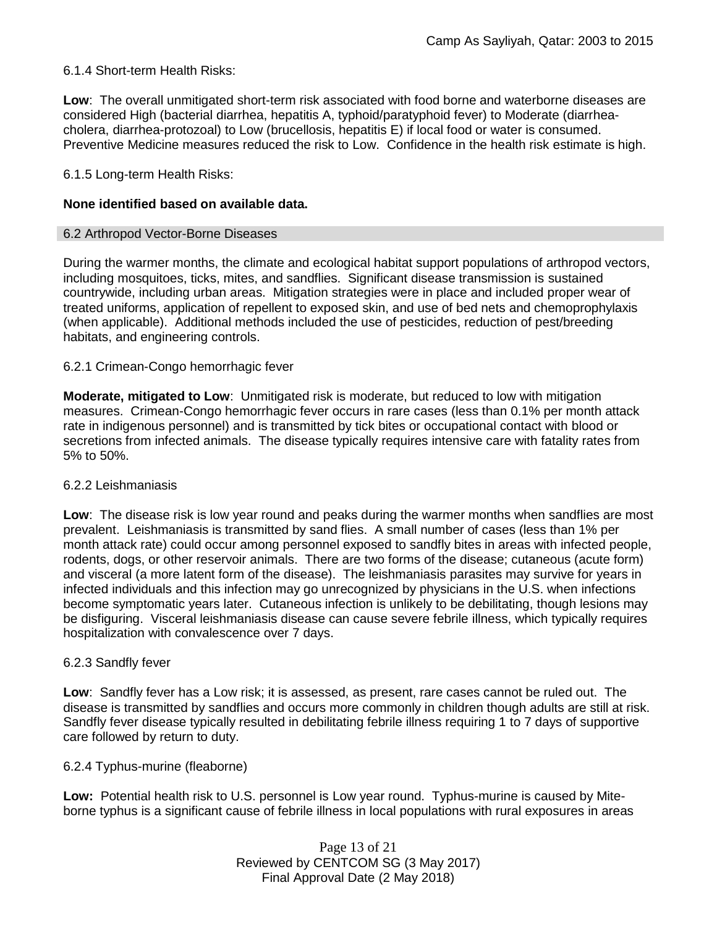# 6.1.4 Short-term Health Risks:

**Low**: The overall unmitigated short-term risk associated with food borne and waterborne diseases are considered High (bacterial diarrhea, hepatitis A, typhoid/paratyphoid fever) to Moderate (diarrheacholera, diarrhea-protozoal) to Low (brucellosis, hepatitis E) if local food or water is consumed. Preventive Medicine measures reduced the risk to Low. Confidence in the health risk estimate is high.

### 6.1.5 Long-term Health Risks:

### **None identified based on available data.**

#### 6.2 Arthropod Vector-Borne Diseases

During the warmer months, the climate and ecological habitat support populations of arthropod vectors, including mosquitoes, ticks, mites, and sandflies. Significant disease transmission is sustained countrywide, including urban areas. Mitigation strategies were in place and included proper wear of treated uniforms, application of repellent to exposed skin, and use of bed nets and chemoprophylaxis (when applicable). Additional methods included the use of pesticides, reduction of pest/breeding habitats, and engineering controls.

### 6.2.1 Crimean-Congo hemorrhagic fever

**Moderate, mitigated to Low**: Unmitigated risk is moderate, but reduced to low with mitigation measures. Crimean-Congo hemorrhagic fever occurs in rare cases (less than 0.1% per month attack rate in indigenous personnel) and is transmitted by tick bites or occupational contact with blood or secretions from infected animals. The disease typically requires intensive care with fatality rates from 5% to 50%.

### 6.2.2 Leishmaniasis

**Low**: The disease risk is low year round and peaks during the warmer months when sandflies are most prevalent. Leishmaniasis is transmitted by sand flies. A small number of cases (less than 1% per month attack rate) could occur among personnel exposed to sandfly bites in areas with infected people, rodents, dogs, or other reservoir animals. There are two forms of the disease; cutaneous (acute form) and visceral (a more latent form of the disease). The leishmaniasis parasites may survive for years in infected individuals and this infection may go unrecognized by physicians in the U.S. when infections become symptomatic years later. Cutaneous infection is unlikely to be debilitating, though lesions may be disfiguring. Visceral leishmaniasis disease can cause severe febrile illness, which typically requires hospitalization with convalescence over 7 days.

### 6.2.3 Sandfly fever

**Low**: Sandfly fever has a Low risk; it is assessed, as present, rare cases cannot be ruled out. The disease is transmitted by sandflies and occurs more commonly in children though adults are still at risk. Sandfly fever disease typically resulted in debilitating febrile illness requiring 1 to 7 days of supportive care followed by return to duty.

### 6.2.4 Typhus-murine (fleaborne)

**Low:** Potential health risk to U.S. personnel is Low year round. Typhus-murine is caused by Miteborne typhus is a significant cause of febrile illness in local populations with rural exposures in areas

> Page 13 of 21 Reviewed by CENTCOM SG (3 May 2017) Final Approval Date (2 May 2018)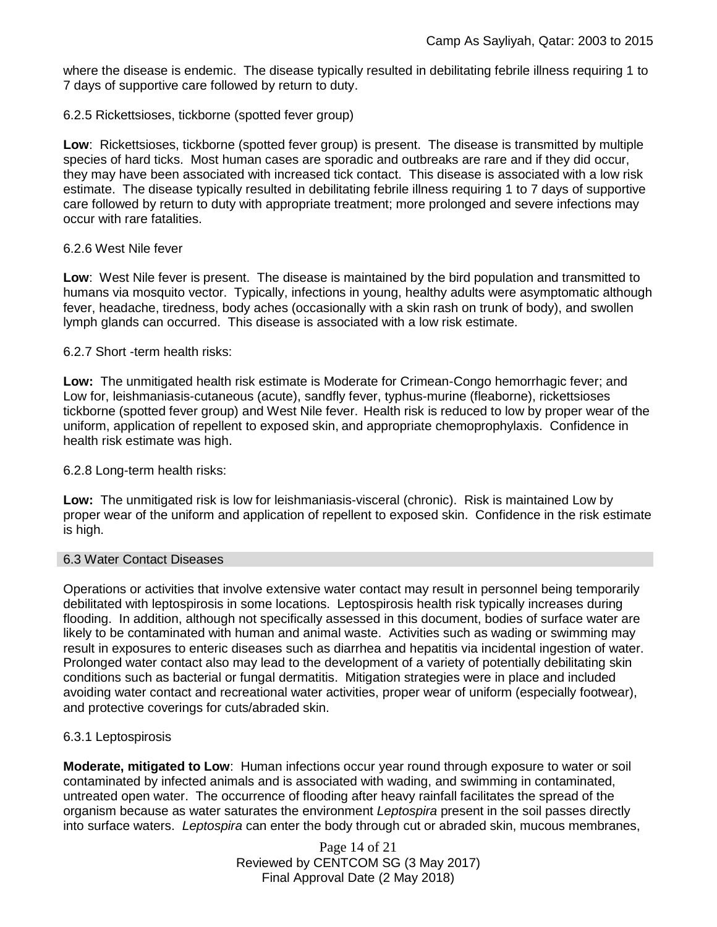where the disease is endemic. The disease typically resulted in debilitating febrile illness requiring 1 to 7 days of supportive care followed by return to duty.

### 6.2.5 Rickettsioses, tickborne (spotted fever group)

**Low**: Rickettsioses, tickborne (spotted fever group) is present. The disease is transmitted by multiple species of hard ticks. Most human cases are sporadic and outbreaks are rare and if they did occur, they may have been associated with increased tick contact. This disease is associated with a low risk estimate. The disease typically resulted in debilitating febrile illness requiring 1 to 7 days of supportive care followed by return to duty with appropriate treatment; more prolonged and severe infections may occur with rare fatalities.

### 6.2.6 West Nile fever

**Low**: West Nile fever is present. The disease is maintained by the bird population and transmitted to humans via mosquito vector. Typically, infections in young, healthy adults were asymptomatic although fever, headache, tiredness, body aches (occasionally with a skin rash on trunk of body), and swollen lymph glands can occurred. This disease is associated with a low risk estimate.

### 6.2.7 Short -term health risks:

**Low:** The unmitigated health risk estimate is Moderate for Crimean-Congo hemorrhagic fever; and Low for, leishmaniasis-cutaneous (acute), sandfly fever, typhus-murine (fleaborne), rickettsioses tickborne (spotted fever group) and West Nile fever. Health risk is reduced to low by proper wear of the uniform, application of repellent to exposed skin, and appropriate chemoprophylaxis. Confidence in health risk estimate was high.

### 6.2.8 Long-term health risks:

**Low:** The unmitigated risk is low for leishmaniasis-visceral (chronic). Risk is maintained Low by proper wear of the uniform and application of repellent to exposed skin. Confidence in the risk estimate is high.

### 6.3 Water Contact Diseases

Operations or activities that involve extensive water contact may result in personnel being temporarily debilitated with leptospirosis in some locations. Leptospirosis health risk typically increases during flooding. In addition, although not specifically assessed in this document, bodies of surface water are likely to be contaminated with human and animal waste. Activities such as wading or swimming may result in exposures to enteric diseases such as diarrhea and hepatitis via incidental ingestion of water. Prolonged water contact also may lead to the development of a variety of potentially debilitating skin conditions such as bacterial or fungal dermatitis. Mitigation strategies were in place and included avoiding water contact and recreational water activities, proper wear of uniform (especially footwear), and protective coverings for cuts/abraded skin.

### 6.3.1 Leptospirosis

**Moderate, mitigated to Low**: Human infections occur year round through exposure to water or soil contaminated by infected animals and is associated with wading, and swimming in contaminated, untreated open water. The occurrence of flooding after heavy rainfall facilitates the spread of the organism because as water saturates the environment *Leptospira* present in the soil passes directly into surface waters. *Leptospira* can enter the body through cut or abraded skin, mucous membranes,

> Page 14 of 21 Reviewed by CENTCOM SG (3 May 2017) Final Approval Date (2 May 2018)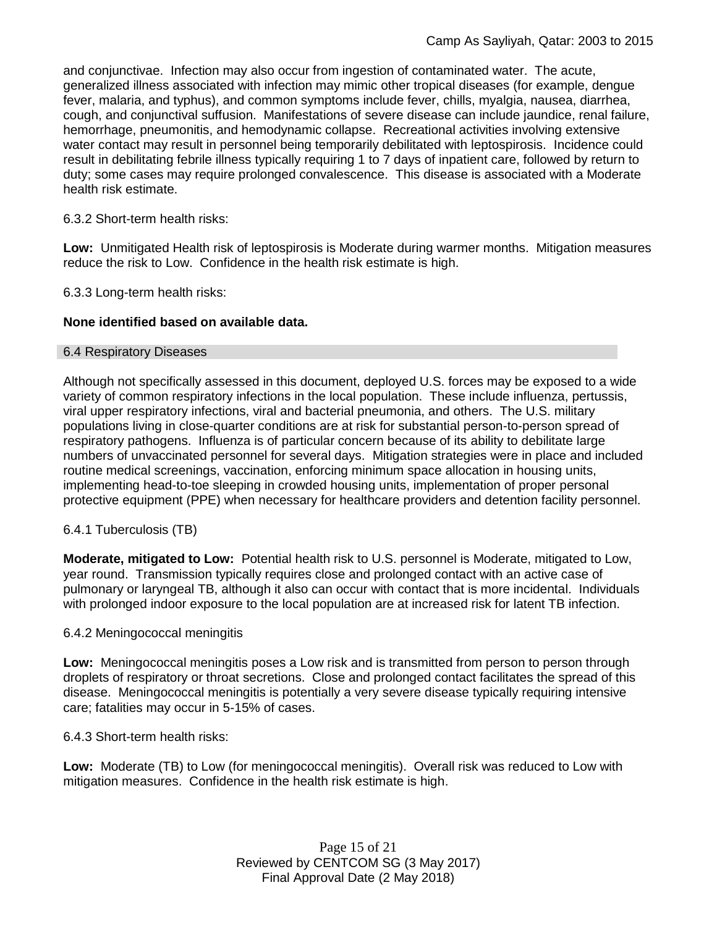and conjunctivae. Infection may also occur from ingestion of contaminated water. The acute, generalized illness associated with infection may mimic other tropical diseases (for example, dengue fever, malaria, and typhus), and common symptoms include fever, chills, myalgia, nausea, diarrhea, cough, and conjunctival suffusion. Manifestations of severe disease can include jaundice, renal failure, hemorrhage, pneumonitis, and hemodynamic collapse. Recreational activities involving extensive water contact may result in personnel being temporarily debilitated with leptospirosis. Incidence could result in debilitating febrile illness typically requiring 1 to 7 days of inpatient care, followed by return to duty; some cases may require prolonged convalescence. This disease is associated with a Moderate health risk estimate.

### 6.3.2 Short-term health risks:

**Low:** Unmitigated Health risk of leptospirosis is Moderate during warmer months. Mitigation measures reduce the risk to Low. Confidence in the health risk estimate is high.

6.3.3 Long-term health risks:

### **None identified based on available data.**

### 6.4 Respiratory Diseases

Although not specifically assessed in this document, deployed U.S. forces may be exposed to a wide variety of common respiratory infections in the local population. These include influenza, pertussis, viral upper respiratory infections, viral and bacterial pneumonia, and others. The U.S. military populations living in close-quarter conditions are at risk for substantial person-to-person spread of respiratory pathogens. Influenza is of particular concern because of its ability to debilitate large numbers of unvaccinated personnel for several days. Mitigation strategies were in place and included routine medical screenings, vaccination, enforcing minimum space allocation in housing units, implementing head-to-toe sleeping in crowded housing units, implementation of proper personal protective equipment (PPE) when necessary for healthcare providers and detention facility personnel.

### 6.4.1 Tuberculosis (TB)

**Moderate, mitigated to Low:** Potential health risk to U.S. personnel is Moderate, mitigated to Low, year round. Transmission typically requires close and prolonged contact with an active case of pulmonary or laryngeal TB, although it also can occur with contact that is more incidental. Individuals with prolonged indoor exposure to the local population are at increased risk for latent TB infection.

### 6.4.2 Meningococcal meningitis

**Low:** Meningococcal meningitis poses a Low risk and is transmitted from person to person through droplets of respiratory or throat secretions. Close and prolonged contact facilitates the spread of this disease. Meningococcal meningitis is potentially a very severe disease typically requiring intensive care; fatalities may occur in 5-15% of cases.

### 6.4.3 Short-term health risks:

**Low:** Moderate (TB) to Low (for meningococcal meningitis). Overall risk was reduced to Low with mitigation measures. Confidence in the health risk estimate is high.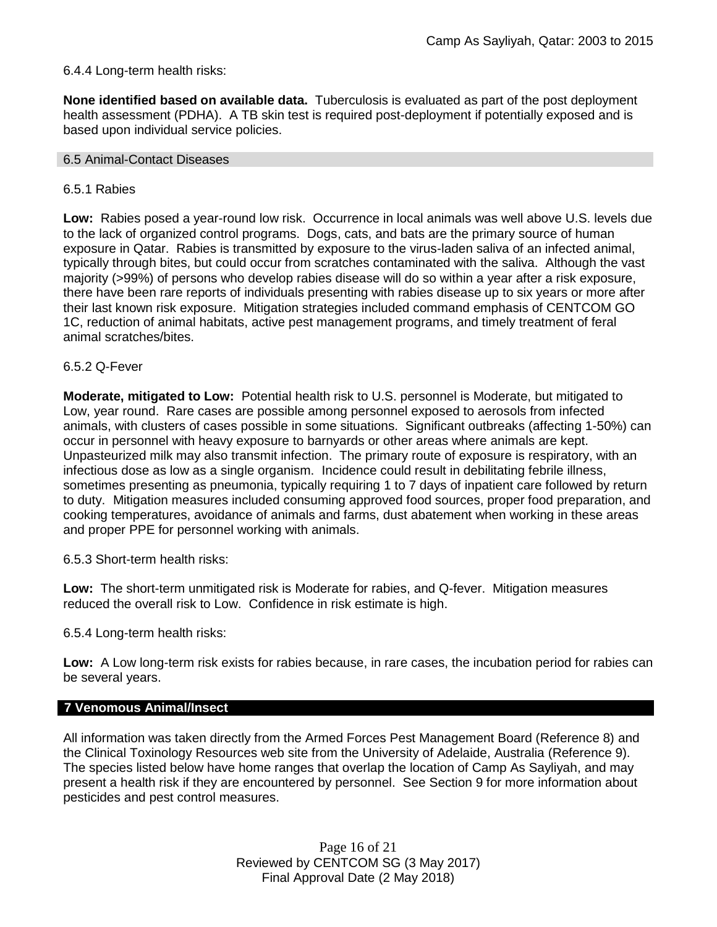### 6.4.4 Long-term health risks:

**None identified based on available data.** Tuberculosis is evaluated as part of the post deployment health assessment (PDHA). A TB skin test is required post-deployment if potentially exposed and is based upon individual service policies.

#### 6.5 Animal-Contact Diseases

### 6.5.1 Rabies

**Low:** Rabies posed a year-round low risk. Occurrence in local animals was well above U.S. levels due to the lack of organized control programs. Dogs, cats, and bats are the primary source of human exposure in Qatar. Rabies is transmitted by exposure to the virus-laden saliva of an infected animal, typically through bites, but could occur from scratches contaminated with the saliva. Although the vast majority (>99%) of persons who develop rabies disease will do so within a year after a risk exposure, there have been rare reports of individuals presenting with rabies disease up to six years or more after their last known risk exposure. Mitigation strategies included command emphasis of CENTCOM GO 1C, reduction of animal habitats, active pest management programs, and timely treatment of feral animal scratches/bites.

### 6.5.2 Q-Fever

**Moderate, mitigated to Low:** Potential health risk to U.S. personnel is Moderate, but mitigated to Low, year round. Rare cases are possible among personnel exposed to aerosols from infected animals, with clusters of cases possible in some situations. Significant outbreaks (affecting 1-50%) can occur in personnel with heavy exposure to barnyards or other areas where animals are kept. Unpasteurized milk may also transmit infection. The primary route of exposure is respiratory, with an infectious dose as low as a single organism. Incidence could result in debilitating febrile illness, sometimes presenting as pneumonia, typically requiring 1 to 7 days of inpatient care followed by return to duty. Mitigation measures included consuming approved food sources, proper food preparation, and cooking temperatures, avoidance of animals and farms, dust abatement when working in these areas and proper PPE for personnel working with animals.

6.5.3 Short-term health risks:

**Low:** The short-term unmitigated risk is Moderate for rabies, and Q-fever. Mitigation measures reduced the overall risk to Low.Confidence in risk estimate is high.

6.5.4 Long-term health risks:

**Low:** A Low long-term risk exists for rabies because, in rare cases, the incubation period for rabies can be several years.

# **7 Venomous Animal/Insect**

All information was taken directly from the Armed Forces Pest Management Board (Reference 8) and the Clinical Toxinology Resources web site from the University of Adelaide, Australia (Reference 9). The species listed below have home ranges that overlap the location of Camp As Sayliyah, and may present a health risk if they are encountered by personnel. See Section 9 for more information about pesticides and pest control measures.

> Page 16 of 21 Reviewed by CENTCOM SG (3 May 2017) Final Approval Date (2 May 2018)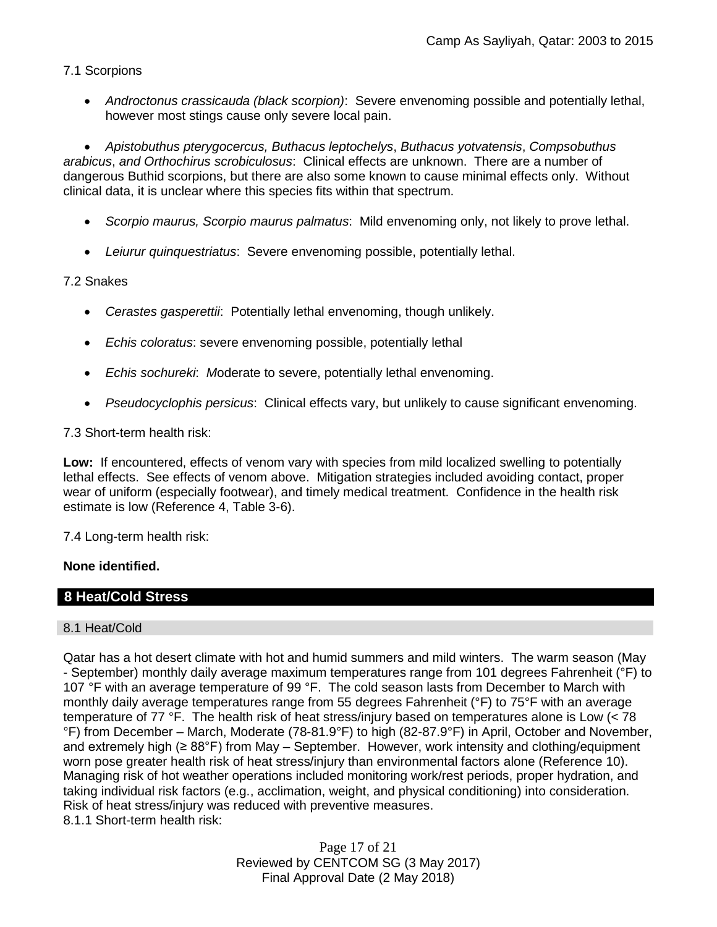# 7.1 Scorpions

 *Androctonus crassicauda (black scorpion)*:Severe envenoming possible and potentially lethal, however most stings cause only severe local pain.

 *Apistobuthus pterygocercus, Buthacus leptochelys*, *Buthacus yotvatensis*, *Compsobuthus arabicus*, *and Orthochirus scrobiculosus*: Clinical effects are unknown. There are a number of dangerous Buthid scorpions, but there are also some known to cause minimal effects only. Without clinical data, it is unclear where this species fits within that spectrum.

- *Scorpio maurus, Scorpio maurus palmatus*: Mild envenoming only, not likely to prove lethal.
- *Leiurur quinquestriatus*: Severe envenoming possible, potentially lethal.

# 7.2 Snakes

- *Cerastes gasperettii*: Potentially lethal envenoming, though unlikely.
- *Echis coloratus*: severe envenoming possible, potentially lethal
- *Echis sochureki*: *M*oderate to severe, potentially lethal envenoming.
- *Pseudocyclophis persicus*: Clinical effects vary, but unlikely to cause significant envenoming.

# 7.3 Short-term health risk:

**Low:** If encountered, effects of venom vary with species from mild localized swelling to potentially lethal effects. See effects of venom above. Mitigation strategies included avoiding contact, proper wear of uniform (especially footwear), and timely medical treatment. Confidence in the health risk estimate is low (Reference 4, Table 3-6).

# 7.4 Long-term health risk:

# **None identified.**

# **8 Heat/Cold Stress**

### 8.1 Heat/Cold

Qatar has a hot desert climate with hot and humid summers and mild winters. The warm season (May - September) monthly daily average maximum temperatures range from 101 degrees Fahrenheit (°F) to 107 °F with an average temperature of 99 °F. The cold season lasts from December to March with monthly daily average temperatures range from 55 degrees Fahrenheit (°F) to 75°F with an average temperature of 77 °F. The health risk of heat stress/injury based on temperatures alone is Low (< 78 °F) from December – March, Moderate (78-81.9°F) to high (82-87.9°F) in April, October and November, and extremely high (≥ 88°F) from May – September. However, work intensity and clothing/equipment worn pose greater health risk of heat stress/injury than environmental factors alone (Reference 10). Managing risk of hot weather operations included monitoring work/rest periods, proper hydration, and taking individual risk factors (e.g., acclimation, weight, and physical conditioning) into consideration. Risk of heat stress/injury was reduced with preventive measures. 8.1.1 Short-term health risk:

> Page 17 of 21 Reviewed by CENTCOM SG (3 May 2017) Final Approval Date (2 May 2018)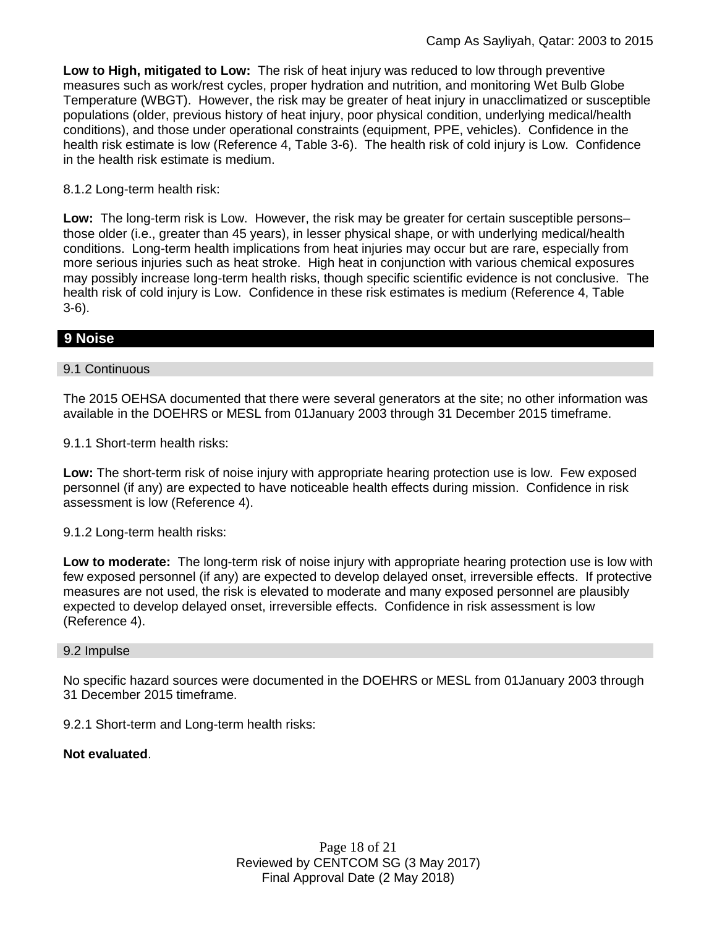**Low to High, mitigated to Low:** The risk of heat injury was reduced to low through preventive measures such as work/rest cycles, proper hydration and nutrition, and monitoring Wet Bulb Globe Temperature (WBGT). However, the risk may be greater of heat injury in unacclimatized or susceptible populations (older, previous history of heat injury, poor physical condition, underlying medical/health conditions), and those under operational constraints (equipment, PPE, vehicles). Confidence in the health risk estimate is low (Reference 4, Table 3-6). The health risk of cold injury is Low. Confidence in the health risk estimate is medium.

### 8.1.2 Long-term health risk:

**Low:** The long-term risk is Low. However, the risk may be greater for certain susceptible persons– those older (i.e., greater than 45 years), in lesser physical shape, or with underlying medical/health conditions. Long-term health implications from heat injuries may occur but are rare, especially from more serious injuries such as heat stroke. High heat in conjunction with various chemical exposures may possibly increase long-term health risks, though specific scientific evidence is not conclusive. The health risk of cold injury is Low. Confidence in these risk estimates is medium (Reference 4, Table 3-6).

# **9 Noise**

### 9.1 Continuous

The 2015 OEHSA documented that there were several generators at the site; no other information was available in the DOEHRS or MESL from 01January 2003 through 31 December 2015 timeframe.

9.1.1 Short-term health risks:

**Low:** The short-term risk of noise injury with appropriate hearing protection use is low. Few exposed personnel (if any) are expected to have noticeable health effects during mission. Confidence in risk assessment is low (Reference 4).

### 9.1.2 Long-term health risks:

**Low to moderate:** The long-term risk of noise injury with appropriate hearing protection use is low with few exposed personnel (if any) are expected to develop delayed onset, irreversible effects. If protective measures are not used, the risk is elevated to moderate and many exposed personnel are plausibly expected to develop delayed onset, irreversible effects. Confidence in risk assessment is low (Reference 4).

#### 9.2 Impulse

No specific hazard sources were documented in the DOEHRS or MESL from 01January 2003 through 31 December 2015 timeframe.

9.2.1 Short-term and Long-term health risks:

### **Not evaluated**.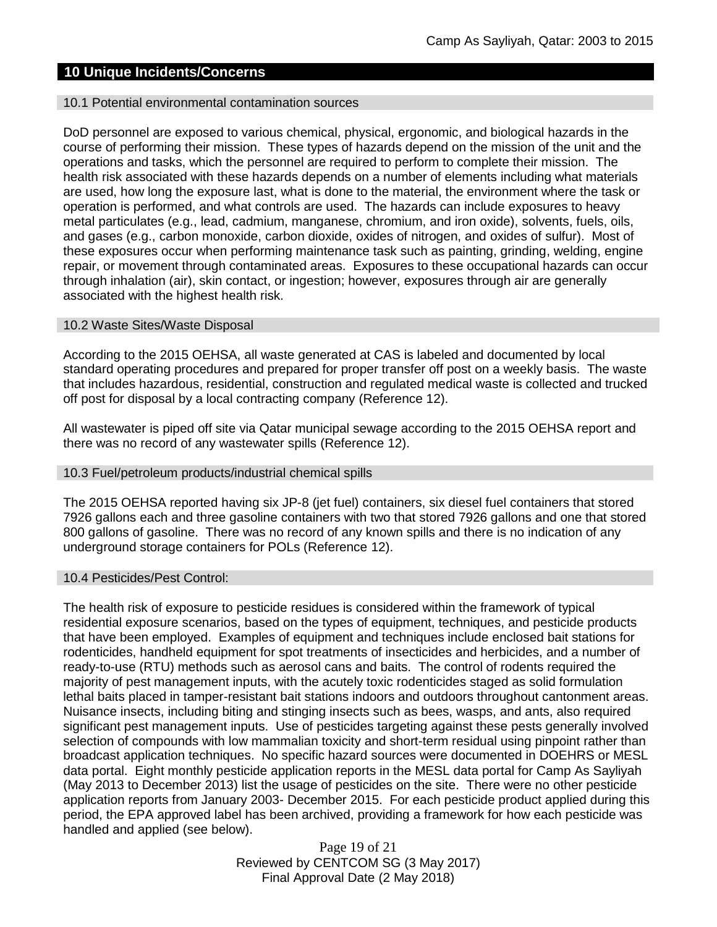# **10 Unique Incidents/Concerns**

#### 10.1 Potential environmental contamination sources

DoD personnel are exposed to various chemical, physical, ergonomic, and biological hazards in the course of performing their mission. These types of hazards depend on the mission of the unit and the operations and tasks, which the personnel are required to perform to complete their mission. The health risk associated with these hazards depends on a number of elements including what materials are used, how long the exposure last, what is done to the material, the environment where the task or operation is performed, and what controls are used. The hazards can include exposures to heavy metal particulates (e.g., lead, cadmium, manganese, chromium, and iron oxide), solvents, fuels, oils, and gases (e.g., carbon monoxide, carbon dioxide, oxides of nitrogen, and oxides of sulfur). Most of these exposures occur when performing maintenance task such as painting, grinding, welding, engine repair, or movement through contaminated areas. Exposures to these occupational hazards can occur through inhalation (air), skin contact, or ingestion; however, exposures through air are generally associated with the highest health risk.

### 10.2 Waste Sites/Waste Disposal

According to the 2015 OEHSA, all waste generated at CAS is labeled and documented by local standard operating procedures and prepared for proper transfer off post on a weekly basis. The waste that includes hazardous, residential, construction and regulated medical waste is collected and trucked off post for disposal by a local contracting company (Reference 12).

All wastewater is piped off site via Qatar municipal sewage according to the 2015 OEHSA report and there was no record of any wastewater spills (Reference 12).

#### 10.3 Fuel/petroleum products/industrial chemical spills

The 2015 OEHSA reported having six JP-8 (jet fuel) containers, six diesel fuel containers that stored 7926 gallons each and three gasoline containers with two that stored 7926 gallons and one that stored 800 gallons of gasoline. There was no record of any known spills and there is no indication of any underground storage containers for POLs (Reference 12).

#### 10.4 Pesticides/Pest Control:

The health risk of exposure to pesticide residues is considered within the framework of typical residential exposure scenarios, based on the types of equipment, techniques, and pesticide products that have been employed. Examples of equipment and techniques include enclosed bait stations for rodenticides, handheld equipment for spot treatments of insecticides and herbicides, and a number of ready-to-use (RTU) methods such as aerosol cans and baits. The control of rodents required the majority of pest management inputs, with the acutely toxic rodenticides staged as solid formulation lethal baits placed in tamper-resistant bait stations indoors and outdoors throughout cantonment areas. Nuisance insects, including biting and stinging insects such as bees, wasps, and ants, also required significant pest management inputs. Use of pesticides targeting against these pests generally involved selection of compounds with low mammalian toxicity and short-term residual using pinpoint rather than broadcast application techniques. No specific hazard sources were documented in DOEHRS or MESL data portal. Eight monthly pesticide application reports in the MESL data portal for Camp As Sayliyah (May 2013 to December 2013) list the usage of pesticides on the site. There were no other pesticide application reports from January 2003- December 2015. For each pesticide product applied during this period, the EPA approved label has been archived, providing a framework for how each pesticide was handled and applied (see below).

> Page 19 of 21 Reviewed by CENTCOM SG (3 May 2017) Final Approval Date (2 May 2018)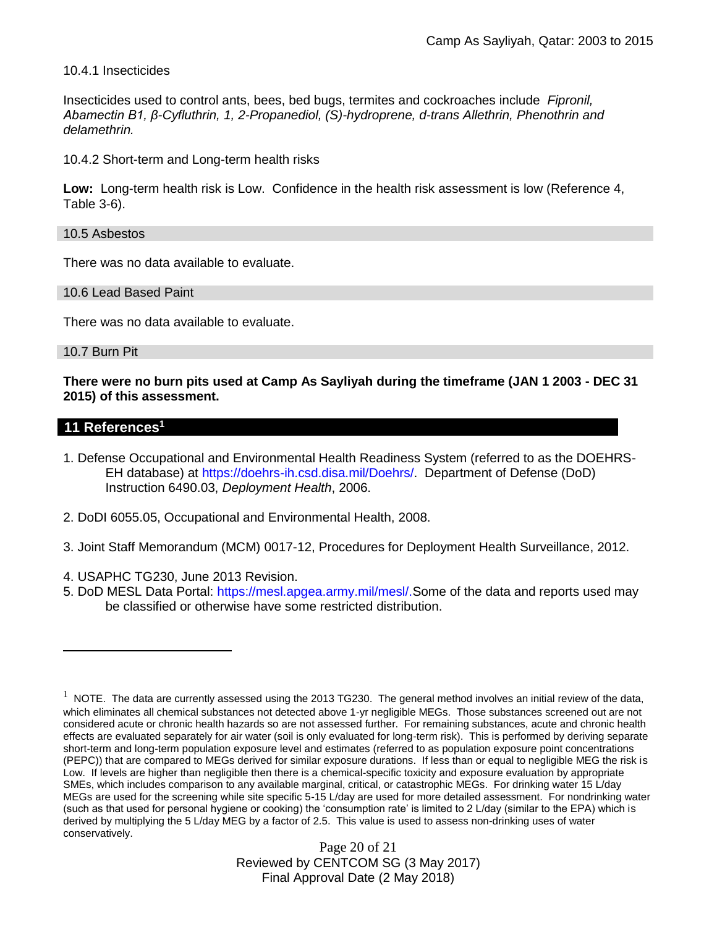10.4.1 Insecticides

Insecticides used to control ants, bees, bed bugs, termites and cockroaches include *Fipronil, Abamectin B1, β-Cyfluthrin, 1, 2-Propanediol, (S)-hydroprene, d-trans Allethrin, Phenothrin and delamethrin.*

10.4.2 Short-term and Long-term health risks

**Low:** Long-term health risk is Low. Confidence in the health risk assessment is low (Reference 4, Table 3-6).

10.5 Asbestos

There was no data available to evaluate.

10.6 Lead Based Paint

There was no data available to evaluate.

10.7 Burn Pit

**There were no burn pits used at Camp As Sayliyah during the timeframe (JAN 1 2003 - DEC 31 2015) of this assessment.** 

### **11 References<sup>1</sup>**

 $\overline{a}$ 

- 1. Defense Occupational and Environmental Health Readiness System (referred to as the DOEHRS-EH database) at https://doehrs-ih.csd.disa.mil/Doehrs/. Department of Defense (DoD) Instruction 6490.03, *Deployment Health*, 2006.
- 2. DoDI 6055.05, Occupational and Environmental Health, 2008.
- 3. Joint Staff Memorandum (MCM) 0017-12, Procedures for Deployment Health Surveillance, 2012.
- 4. USAPHC TG230, June 2013 Revision.
- 5. DoD MESL Data Portal: https://mesl.apgea.army.mil/mesl/.Some of the data and reports used may be classified or otherwise have some restricted distribution.

Page 20 of 21 Reviewed by CENTCOM SG (3 May 2017) Final Approval Date (2 May 2018)

 $1$  NOTE. The data are currently assessed using the 2013 TG230. The general method involves an initial review of the data, which eliminates all chemical substances not detected above 1-yr negligible MEGs. Those substances screened out are not considered acute or chronic health hazards so are not assessed further. For remaining substances, acute and chronic health effects are evaluated separately for air water (soil is only evaluated for long-term risk). This is performed by deriving separate short-term and long-term population exposure level and estimates (referred to as population exposure point concentrations (PEPC)) that are compared to MEGs derived for similar exposure durations. If less than or equal to negligible MEG the risk is Low. If levels are higher than negligible then there is a chemical-specific toxicity and exposure evaluation by appropriate SMEs, which includes comparison to any available marginal, critical, or catastrophic MEGs. For drinking water 15 L/day MEGs are used for the screening while site specific 5-15 L/day are used for more detailed assessment. For nondrinking water (such as that used for personal hygiene or cooking) the 'consumption rate' is limited to 2 L/day (similar to the EPA) which is derived by multiplying the 5 L/day MEG by a factor of 2.5. This value is used to assess non-drinking uses of water conservatively.